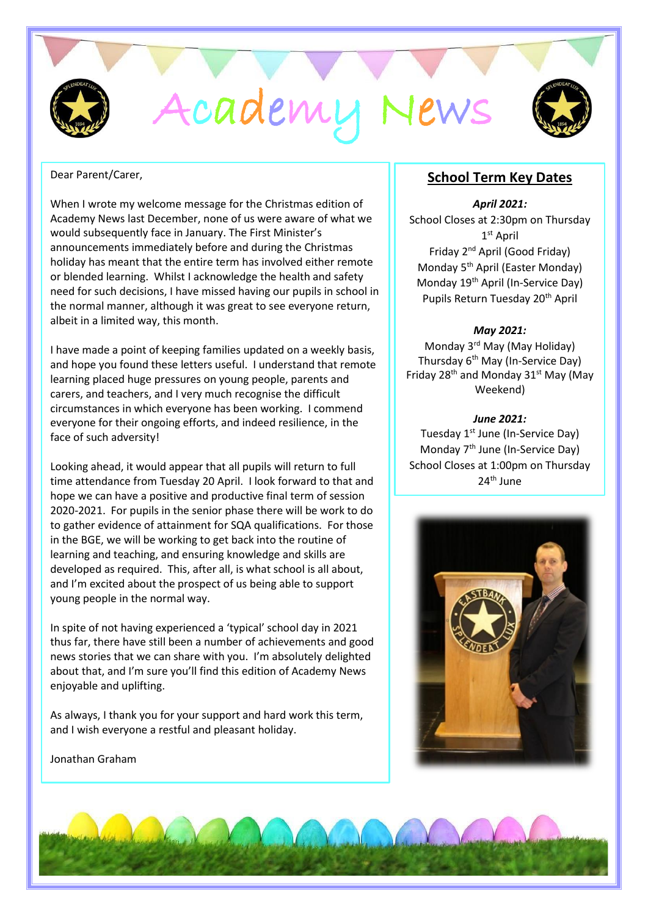

Dear Parent/Carer,

When I wrote my welcome message for the Christmas edition of Academy News last December, none of us were aware of what we would subsequently face in January. The First Minister's announcements immediately before and during the Christmas holiday has meant that the entire term has involved either remote or blended learning. Whilst I acknowledge the health and safety need for such decisions, I have missed having our pupils in school in the normal manner, although it was great to see everyone return, albeit in a limited way, this month.

I have made a point of keeping families updated on a weekly basis, and hope you found these letters useful. I understand that remote learning placed huge pressures on young people, parents and carers, and teachers, and I very much recognise the difficult circumstances in which everyone has been working. I commend everyone for their ongoing efforts, and indeed resilience, in the face of such adversity!

Looking ahead, it would appear that all pupils will return to full time attendance from Tuesday 20 April. I look forward to that and hope we can have a positive and productive final term of session 2020-2021. For pupils in the senior phase there will be work to do to gather evidence of attainment for SQA qualifications. For those in the BGE, we will be working to get back into the routine of learning and teaching, and ensuring knowledge and skills are developed as required. This, after all, is what school is all about, and I'm excited about the prospect of us being able to support young people in the normal way.

In spite of not having experienced a 'typical' school day in 2021 thus far, there have still been a number of achievements and good news stories that we can share with you. I'm absolutely delighted about that, and I'm sure you'll find this edition of Academy News enjoyable and uplifting.

As always, I thank you for your support and hard work this term, and I wish everyone a restful and pleasant holiday.

Jonathan Graham

# **School Term Key Dates**

#### *April 2021:*

School Closes at 2:30pm on Thursday 1 st April Friday 2nd April (Good Friday) Monday 5<sup>th</sup> April (Easter Monday) Monday 19th April (In-Service Day) Pupils Return Tuesday 20<sup>th</sup> April

#### *May 2021:*

Monday 3rd May (May Holiday) Thursday 6<sup>th</sup> May (In-Service Day) Friday 28<sup>th</sup> and Monday 31<sup>st</sup> May (May Weekend)

#### *June 2021:*

Tuesday 1<sup>st</sup> June (In-Service Day) Monday 7<sup>th</sup> June (In-Service Day) School Closes at 1:00pm on Thursday 24th June



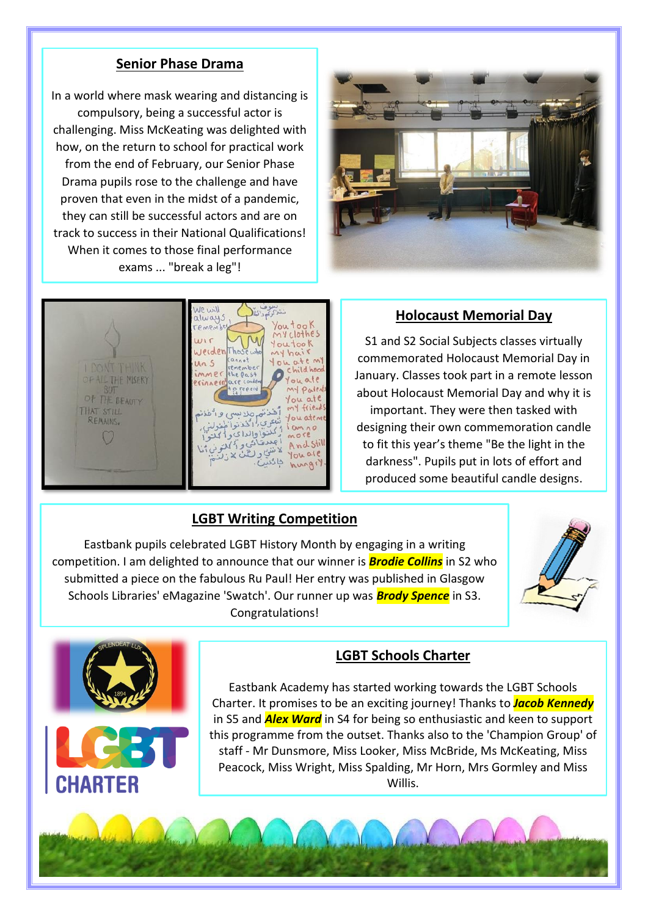# **Senior Phase Drama**

In a world where mask wearing and distancing is compulsory, being a successful actor is challenging. Miss McKeating was delighted with how, on the return to school for practical work from the end of February, our Senior Phase Drama pupils rose to the challenge and have proven that even in the midst of a pandemic, they can still be successful actors and are on track to success in their National Qualifications! When it comes to those final performance exams ... "break a leg"!





## **Holocaust Memorial Day**

S1 and S2 Social Subjects classes virtually commemorated Holocaust Memorial Day in January. Classes took part in a remote lesson about Holocaust Memorial Day and why it is important. They were then tasked with designing their own commemoration candle to fit this year's theme "Be the light in the darkness". Pupils put in lots of effort and produced some beautiful candle designs.

## **LGBT Writing Competition**

Eastbank pupils celebrated LGBT History Month by engaging in a writing competition. I am delighted to announce that our winner is *Brodie Collins* in S2 who submitted a piece on the fabulous Ru Paul! Her entry was published in Glasgow Schools Libraries' eMagazine 'Swatch'. Our runner up was *Brody Spence* in S3. Congratulations!





# **LGBT Schools Charter**

Eastbank Academy has started working towards the LGBT Schools Charter. It promises to be an exciting journey! Thanks to *Jacob Kennedy* in S5 and *Alex Ward* in S4 for being so enthusiastic and keen to support this programme from the outset. Thanks also to the 'Champion Group' of staff - Mr Dunsmore, Miss Looker, Miss McBride, Ms McKeating, Miss Peacock, Miss Wright, Miss Spalding, Mr Horn, Mrs Gormley and Miss Willis.